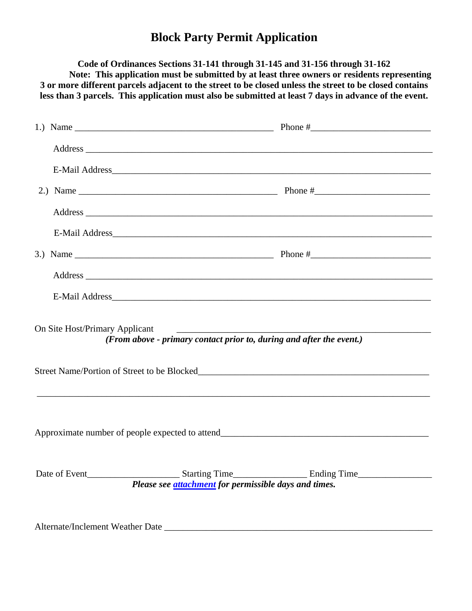## **Block Party Permit Application**

**Code of Ordinances Sections 31-141 through 31-145 and 31-156 through 31-162 Note: This application must be submitted by at least three owners or residents representing 3 or more different parcels adjacent to the street to be closed unless the street to be closed contains less than 3 parcels. This application must also be submitted at least 7 days in advance of the event.**

|                                |                                                                      | E-Mail Address_ |  |
|--------------------------------|----------------------------------------------------------------------|-----------------|--|
|                                |                                                                      |                 |  |
|                                |                                                                      |                 |  |
|                                |                                                                      |                 |  |
|                                |                                                                      |                 |  |
|                                |                                                                      |                 |  |
|                                |                                                                      |                 |  |
| On Site Host/Primary Applicant | (From above - primary contact prior to, during and after the event.) |                 |  |
|                                |                                                                      |                 |  |
|                                |                                                                      |                 |  |
|                                |                                                                      |                 |  |
|                                | Please see <b>attachment</b> for permissible days and times.         |                 |  |
|                                |                                                                      |                 |  |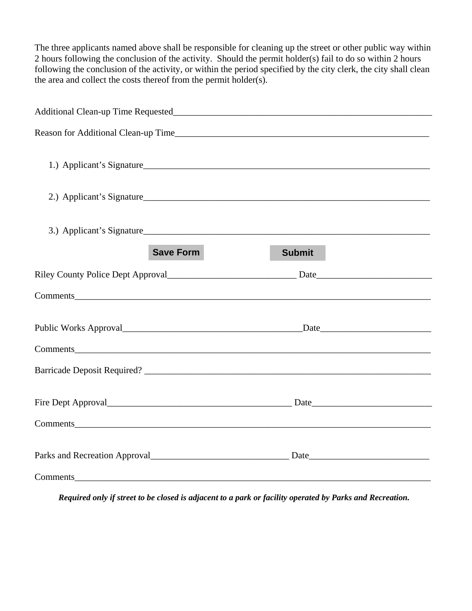The three applicants named above shall be responsible for cleaning up the street or other public way within 2 hours following the conclusion of the activity. Should the permit holder(s) fail to do so within 2 hours following the conclusion of the activity, or within the period specified by the city clerk, the city shall clean the area and collect the costs thereof from the permit holder(s).

| 1.) Applicant's Signature                                                                                                                                                                                                      |               |  |  |  |  |
|--------------------------------------------------------------------------------------------------------------------------------------------------------------------------------------------------------------------------------|---------------|--|--|--|--|
| 2.) Applicant's Signature                                                                                                                                                                                                      |               |  |  |  |  |
| <b>Save Form</b>                                                                                                                                                                                                               | <b>Submit</b> |  |  |  |  |
|                                                                                                                                                                                                                                |               |  |  |  |  |
| Comments expression and the comments of the comments of the comments of the comments of the comments of the comments of the comments of the comments of the comments of the comments of the comments of the comments of the co |               |  |  |  |  |
|                                                                                                                                                                                                                                |               |  |  |  |  |
|                                                                                                                                                                                                                                |               |  |  |  |  |
|                                                                                                                                                                                                                                |               |  |  |  |  |
|                                                                                                                                                                                                                                |               |  |  |  |  |
| Comments                                                                                                                                                                                                                       |               |  |  |  |  |
|                                                                                                                                                                                                                                |               |  |  |  |  |
|                                                                                                                                                                                                                                |               |  |  |  |  |

*Required only if street to be closed is adjacent to a park or facility operated by Parks and Recreation.*